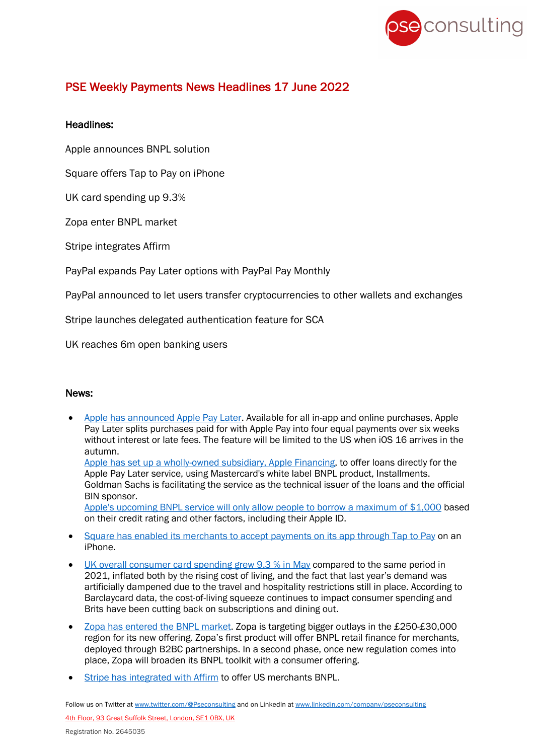

## PSE Weekly Payments News Headlines 17 June 2022

## Headlines:

Apple announces BNPL solution

Square offers Tap to Pay on iPhone

UK card spending up 9.3%

Zopa enter BNPL market

Stripe integrates Affirm

PayPal expands Pay Later options with PayPal Pay Monthly

PayPal announced to let users transfer cryptocurrencies to other wallets and exchanges

Stripe launches delegated authentication feature for SCA

UK reaches 6m open banking users

## News:

• Apple has announced Apple Pay Later. Available for all in-app and online purchases, Apple Pay Later splits purchases paid for with Apple Pay into four equal payments over six weeks without interest or late fees. The feature will be limited to the US when iOS 16 arrives in the autumn.

Apple has set up a wholly-owned subsidiary, Apple Financing, to offer loans directly for the Apple Pay Later service, using Mastercard's white label BNPL product, Installments. Goldman Sachs is facilitating the service as the technical issuer of the loans and the official BIN sponsor.

Apple's upcoming BNPL service will only allow people to borrow a maximum of \$1,000 based on their credit rating and other factors, including their Apple ID.

- Square has enabled its merchants to accept payments on its app through Tap to Pay on an iPhone.
- UK overall consumer card spending grew 9.3 % in May compared to the same period in 2021, inflated both by the rising cost of living, and the fact that last year's demand was artificially dampened due to the travel and hospitality restrictions still in place. According to Barclaycard data, the cost-of-living squeeze continues to impact consumer spending and Brits have been cutting back on subscriptions and dining out.
- Zopa has entered the BNPL market. Zopa is targeting bigger outlays in the £250-£30,000 region for its new offering. Zopa's first product will offer BNPL retail finance for merchants, deployed through B2BC partnerships. In a second phase, once new regulation comes into place, Zopa will broaden its BNPL toolkit with a consumer offering.
- Stripe has integrated with Affirm to offer US merchants BNPL.

Follow us on Twitter at www.twitter.com/@Pseconsulting and on LinkedIn at www.linkedin.com/company/pseconsulting 4th Floor, 93 Great Suffolk Street, London, SE1 0BX, UK